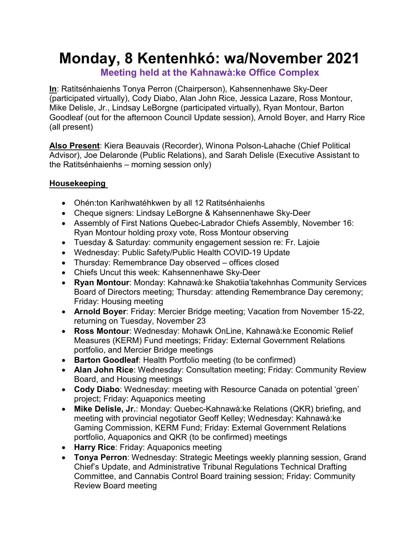# **Monday, 8 Kentenhkó: wa/November 2021**

**Meeting held at the Kahnawà:ke Office Complex**

**In**: Ratitsénhaienhs Tonya Perron (Chairperson), Kahsennenhawe Sky-Deer (participated virtually), Cody Diabo, Alan John Rice, Jessica Lazare, Ross Montour, Mike Delisle, Jr., Lindsay LeBorgne (participated virtually), Ryan Montour, Barton Goodleaf (out for the afternoon Council Update session), Arnold Boyer, and Harry Rice (all present)

**Also Present**: Kiera Beauvais (Recorder), Winona Polson-Lahache (Chief Political Advisor), Joe Delaronde (Public Relations), and Sarah Delisle (Executive Assistant to the Ratitsénhaienhs – morning session only)

## **Housekeeping**

- Ohén:ton Karihwatéhkwen by all 12 Ratitsénhaienhs
- Cheque signers: Lindsay LeBorgne & Kahsennenhawe Sky-Deer
- Assembly of First Nations Quebec-Labrador Chiefs Assembly, November 16: Ryan Montour holding proxy vote, Ross Montour observing
- Tuesday & Saturday: community engagement session re: Fr. Lajoie
- Wednesday: Public Safety/Public Health COVID-19 Update
- Thursday: Remembrance Day observed offices closed
- Chiefs Uncut this week: Kahsennenhawe Sky-Deer
- **Ryan Montour**: Monday: Kahnawà:ke Shakotiia'takehnhas Community Services Board of Directors meeting; Thursday: attending Remembrance Day ceremony; Friday: Housing meeting
- **Arnold Boyer**: Friday: Mercier Bridge meeting; Vacation from November 15-22, returning on Tuesday, November 23
- **Ross Montour**: Wednesday: Mohawk OnLine, Kahnawà:ke Economic Relief Measures (KERM) Fund meetings; Friday: External Government Relations portfolio, and Mercier Bridge meetings
- **Barton Goodleaf**: Health Portfolio meeting (to be confirmed)
- **Alan John Rice**: Wednesday: Consultation meeting; Friday: Community Review Board, and Housing meetings
- **Cody Diabo**: Wednesday: meeting with Resource Canada on potential 'green' project; Friday: Aquaponics meeting
- **Mike Delisle, Jr.**: Monday: Quebec-Kahnawà:ke Relations (QKR) briefing, and meeting with provincial negotiator Geoff Kelley; Wednesday: Kahnawà:ke Gaming Commission, KERM Fund; Friday: External Government Relations portfolio, Aquaponics and QKR (to be confirmed) meetings
- **Harry Rice**: Friday: Aquaponics meeting
- **Tonya Perron**: Wednesday: Strategic Meetings weekly planning session, Grand Chief's Update, and Administrative Tribunal Regulations Technical Drafting Committee, and Cannabis Control Board training session; Friday: Community Review Board meeting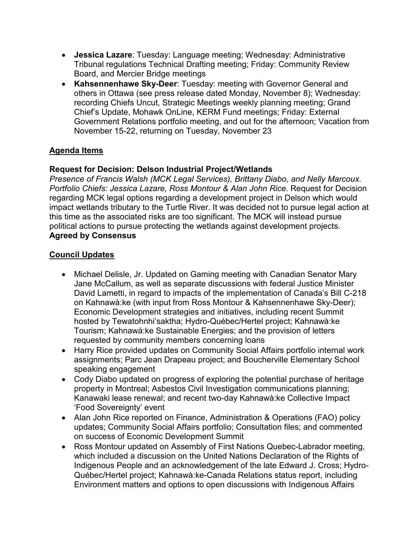- **Jessica Lazare**: Tuesday: Language meeting; Wednesday: Administrative Tribunal regulations Technical Drafting meeting; Friday: Community Review Board, and Mercier Bridge meetings
- **Kahsennenhawe Sky-Deer**: Tuesday: meeting with Governor General and others in Ottawa (see press release dated Monday, November 8); Wednesday: recording Chiefs Uncut, Strategic Meetings weekly planning meeting; Grand Chief's Update, Mohawk OnLine, KERM Fund meetings; Friday: External Government Relations portfolio meeting, and out for the afternoon; Vacation from November 15-22, returning on Tuesday, November 23

## **Agenda Items**

#### **Request for Decision: Delson Industrial Project/Wetlands**

*Presence of Francis Walsh (MCK Legal Services), Brittany Diabo, and Nelly Marcoux. Portfolio Chiefs: Jessica Lazare, Ross Montour & Alan John Rice*. Request for Decision regarding MCK legal options regarding a development project in Delson which would impact wetlands tributary to the Turtle River. It was decided not to pursue legal action at this time as the associated risks are too significant. The MCK will instead pursue political actions to pursue protecting the wetlands against development projects. **Agreed by Consensus**

#### **Council Updates**

- Michael Delisle, Jr. Updated on Gaming meeting with Canadian Senator Mary Jane McCallum, as well as separate discussions with federal Justice Minister David Lametti, in regard to impacts of the implementation of Canada's Bill C-218 on Kahnawà:ke (with input from Ross Montour & Kahsennenhawe Sky-Deer); Economic Development strategies and initiatives, including recent Summit hosted by Tewatohnhi'saktha; Hydro-Québec/Hertel project; Kahnawà:ke Tourism; Kahnawà:ke Sustainable Energies; and the provision of letters requested by community members concerning loans
- Harry Rice provided updates on Community Social Affairs portfolio internal work assignments; Parc Jean Drapeau project; and Boucherville Elementary School speaking engagement
- Cody Diabo updated on progress of exploring the potential purchase of heritage property in Montreal; Asbestos Civil Investigation communications planning; Kanawaki lease renewal; and recent two-day Kahnawà:ke Collective Impact 'Food Sovereignty' event
- Alan John Rice reported on Finance, Administration & Operations (FAO) policy updates; Community Social Affairs portfolio; Consultation files; and commented on success of Economic Development Summit
- Ross Montour updated on Assembly of First Nations Quebec-Labrador meeting, which included a discussion on the United Nations Declaration of the Rights of Indigenous People and an acknowledgement of the late Edward J. Cross; Hydro-Québec/Hertel project; Kahnawà:ke-Canada Relations status report, including Environment matters and options to open discussions with Indigenous Affairs